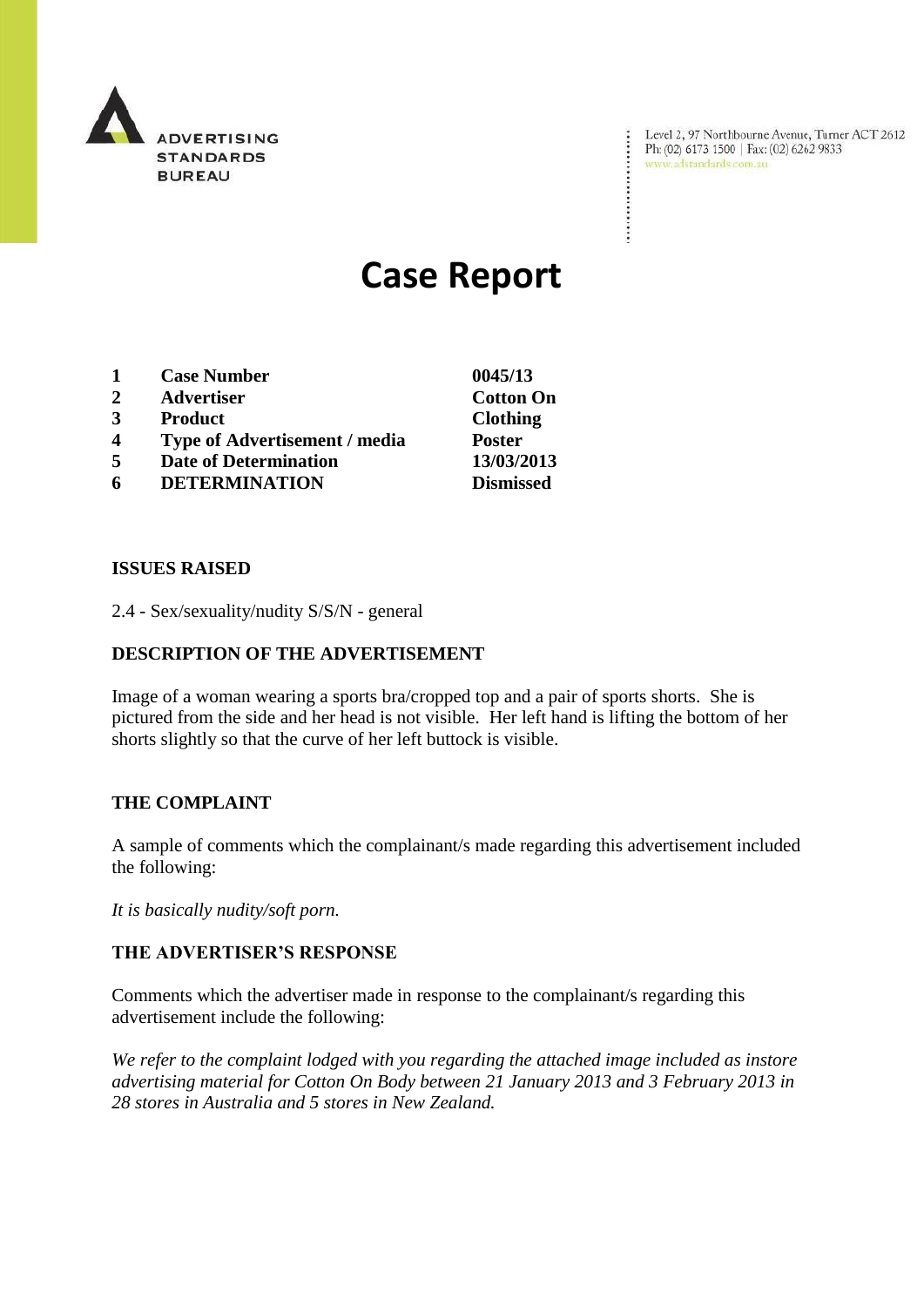

Level 2, 97 Northbourne Avenue, Turner ACT 2612 Ph: (02) 6173 1500 | Fax: (02) 6262 9833 www.adstandards.com.au

÷

# **Case Report**

- **1 Case Number 0045/13**
- **2 Advertiser Cotton On**
- **3 Product Clothing**
- **4 Type of Advertisement / media Poster**
- **5 Date of Determination 13/03/2013**
- **6 DETERMINATION Dismissed**

#### **ISSUES RAISED**

2.4 - Sex/sexuality/nudity S/S/N - general

### **DESCRIPTION OF THE ADVERTISEMENT**

Image of a woman wearing a sports bra/cropped top and a pair of sports shorts. She is pictured from the side and her head is not visible. Her left hand is lifting the bottom of her shorts slightly so that the curve of her left buttock is visible.

#### **THE COMPLAINT**

A sample of comments which the complainant/s made regarding this advertisement included the following:

*It is basically nudity/soft porn.*

#### **THE ADVERTISER'S RESPONSE**

Comments which the advertiser made in response to the complainant/s regarding this advertisement include the following:

*We refer to the complaint lodged with you regarding the attached image included as instore advertising material for Cotton On Body between 21 January 2013 and 3 February 2013 in 28 stores in Australia and 5 stores in New Zealand.*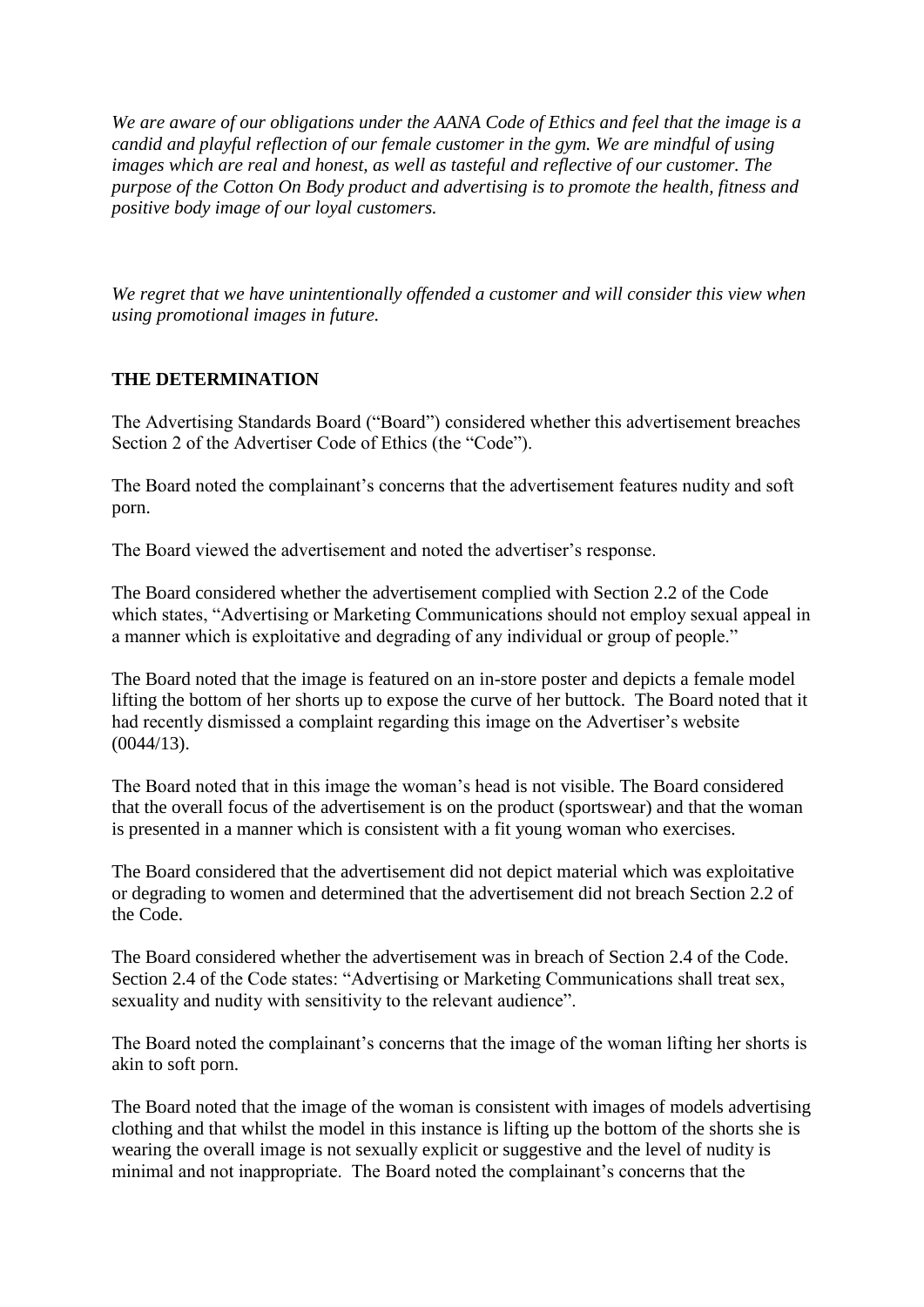*We are aware of our obligations under the AANA Code of Ethics and feel that the image is a candid and playful reflection of our female customer in the gym. We are mindful of using images which are real and honest, as well as tasteful and reflective of our customer. The purpose of the Cotton On Body product and advertising is to promote the health, fitness and positive body image of our loyal customers.*

*We regret that we have unintentionally offended a customer and will consider this view when using promotional images in future.* 

## **THE DETERMINATION**

The Advertising Standards Board ("Board") considered whether this advertisement breaches Section 2 of the Advertiser Code of Ethics (the "Code").

The Board noted the complainant's concerns that the advertisement features nudity and soft porn.

The Board viewed the advertisement and noted the advertiser's response.

The Board considered whether the advertisement complied with Section 2.2 of the Code which states, "Advertising or Marketing Communications should not employ sexual appeal in a manner which is exploitative and degrading of any individual or group of people."

The Board noted that the image is featured on an in-store poster and depicts a female model lifting the bottom of her shorts up to expose the curve of her buttock. The Board noted that it had recently dismissed a complaint regarding this image on the Advertiser's website  $(0044/13)$ .

The Board noted that in this image the woman's head is not visible. The Board considered that the overall focus of the advertisement is on the product (sportswear) and that the woman is presented in a manner which is consistent with a fit young woman who exercises.

The Board considered that the advertisement did not depict material which was exploitative or degrading to women and determined that the advertisement did not breach Section 2.2 of the Code.

The Board considered whether the advertisement was in breach of Section 2.4 of the Code. Section 2.4 of the Code states: "Advertising or Marketing Communications shall treat sex, sexuality and nudity with sensitivity to the relevant audience".

The Board noted the complainant's concerns that the image of the woman lifting her shorts is akin to soft porn.

The Board noted that the image of the woman is consistent with images of models advertising clothing and that whilst the model in this instance is lifting up the bottom of the shorts she is wearing the overall image is not sexually explicit or suggestive and the level of nudity is minimal and not inappropriate. The Board noted the complainant's concerns that the